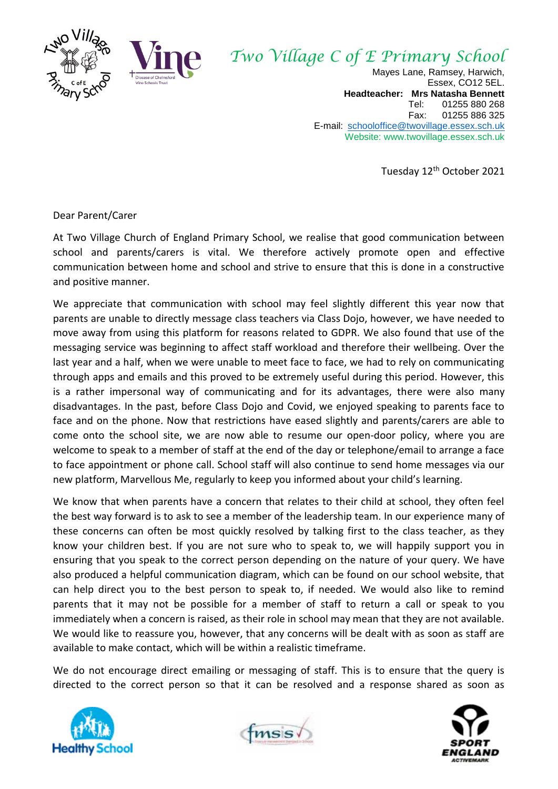

## *Two Village C of E Primary School*

Mayes Lane, Ramsey, Harwich, Essex, CO12 5EL. **Headteacher: Mrs Natasha Bennett** Tel: 01255 880 268 Fax: 01255 886 325 E-mail: [schooloffice@twovillage.essex.sch.uk](mailto:schooloffice@twovillage.essex.sch.uk) Website: www.twovillage.essex.sch.uk

Tuesday 12<sup>th</sup> October 2021

Dear Parent/Carer

At Two Village Church of England Primary School, we realise that good communication between school and parents/carers is vital. We therefore actively promote open and effective communication between home and school and strive to ensure that this is done in a constructive and positive manner.

We appreciate that communication with school may feel slightly different this year now that parents are unable to directly message class teachers via Class Dojo, however, we have needed to move away from using this platform for reasons related to GDPR. We also found that use of the messaging service was beginning to affect staff workload and therefore their wellbeing. Over the last year and a half, when we were unable to meet face to face, we had to rely on communicating through apps and emails and this proved to be extremely useful during this period. However, this is a rather impersonal way of communicating and for its advantages, there were also many disadvantages. In the past, before Class Dojo and Covid, we enjoyed speaking to parents face to face and on the phone. Now that restrictions have eased slightly and parents/carers are able to come onto the school site, we are now able to resume our open-door policy, where you are welcome to speak to a member of staff at the end of the day or telephone/email to arrange a face to face appointment or phone call. School staff will also continue to send home messages via our new platform, Marvellous Me, regularly to keep you informed about your child's learning.

We know that when parents have a concern that relates to their child at school, they often feel the best way forward is to ask to see a member of the leadership team. In our experience many of these concerns can often be most quickly resolved by talking first to the class teacher, as they know your children best. If you are not sure who to speak to, we will happily support you in ensuring that you speak to the correct person depending on the nature of your query. We have also produced a helpful communication diagram, which can be found on our school website, that can help direct you to the best person to speak to, if needed. We would also like to remind parents that it may not be possible for a member of staff to return a call or speak to you immediately when a concern is raised, as their role in school may mean that they are not available. We would like to reassure you, however, that any concerns will be dealt with as soon as staff are available to make contact, which will be within a realistic timeframe.

We do not encourage direct emailing or messaging of staff. This is to ensure that the query is directed to the correct person so that it can be resolved and a response shared as soon as